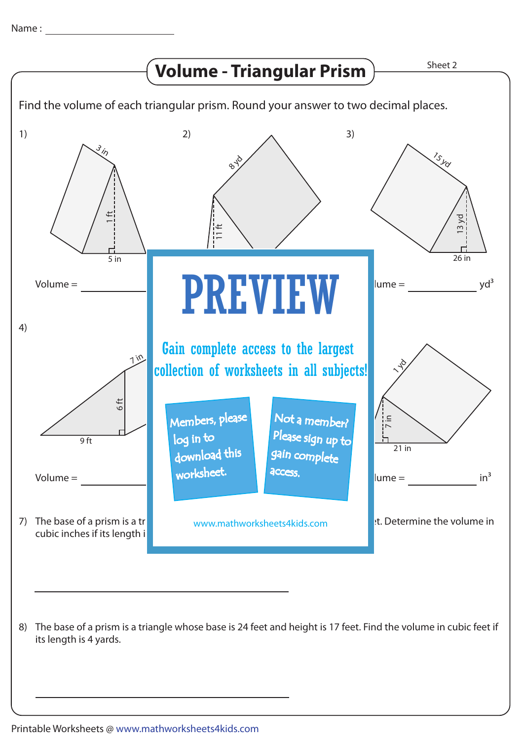